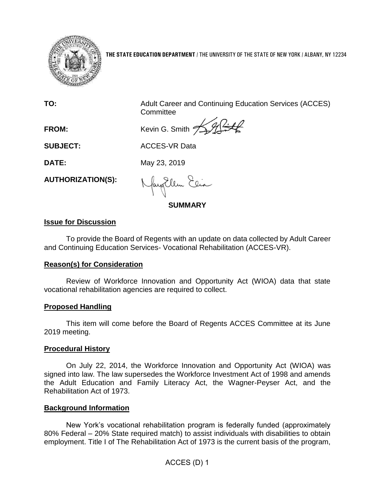

**THE STATE EDUCATION DEPARTMENT** / THE UNIVERSITY OF THE STATE OF NEW YORK / ALBANY, NY 12234

**TO:** Adult Career and Continuing Education Services (ACCES) **Committee** 

FROM: Kevin G. Smith  $\frac{1}{2}$ 

**SUBJECT:** ACCES-VR Data

**DATE:** May 23, 2019

**AUTHORIZATION(S):**

fayEllen Elia

**SUMMARY**

# **Issue for Discussion**

To provide the Board of Regents with an update on data collected by Adult Career and Continuing Education Services- Vocational Rehabilitation (ACCES-VR).

#### **Reason(s) for Consideration**

Review of Workforce Innovation and Opportunity Act (WIOA) data that state vocational rehabilitation agencies are required to collect.

# **Proposed Handling**

This item will come before the Board of Regents ACCES Committee at its June 2019 meeting.

#### **Procedural History**

On July 22, 2014, the Workforce Innovation and Opportunity Act (WIOA) was signed into law. The law supersedes the Workforce Investment Act of 1998 and amends the Adult Education and Family Literacy Act, the Wagner-Peyser Act, and the Rehabilitation Act of 1973.

# **Background Information**

New York's vocational rehabilitation program is federally funded (approximately 80% Federal – 20% State required match) to assist individuals with disabilities to obtain employment. Title I of The Rehabilitation Act of 1973 is the current basis of the program,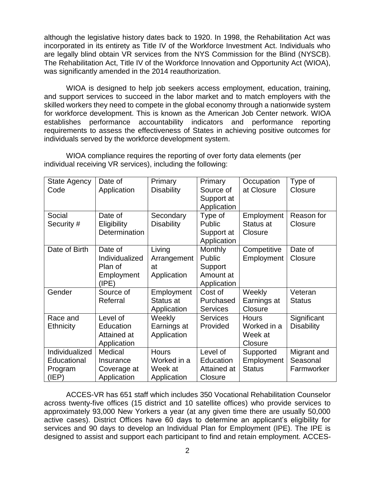although the legislative history dates back to 1920. In 1998, the Rehabilitation Act was incorporated in its entirety as Title IV of the Workforce Investment Act. Individuals who are legally blind obtain VR services from the NYS Commission for the Blind (NYSCB). The Rehabilitation Act, Title IV of the Workforce Innovation and Opportunity Act (WIOA), was significantly amended in the 2014 reauthorization.

WIOA is designed to help job seekers access employment, education, training, and support services to succeed in the labor market and to match employers with the skilled workers they need to compete in the global economy through a nationwide system for workforce development. This is known as the American Job Center network. WIOA establishes performance accountability indicators and performance reporting requirements to assess the effectiveness of States in achieving positive outcomes for individuals served by the workforce development system.

| <b>State Agency</b><br>Code                       | Date of<br>Application                                      | Primary<br><b>Disability</b>                          | Primary<br>Source of<br>Support at<br>Application               | Occupation<br>at Closure                          | Type of<br>Closure                    |
|---------------------------------------------------|-------------------------------------------------------------|-------------------------------------------------------|-----------------------------------------------------------------|---------------------------------------------------|---------------------------------------|
| Social<br>Security #                              | Date of<br>Eligibility<br>Determination                     | Secondary<br><b>Disability</b>                        | Type of<br><b>Public</b><br>Support at<br>Application           | Employment<br>Status at<br>Closure                | Reason for<br>Closure                 |
| Date of Birth                                     | Date of<br>Individualized<br>Plan of<br>Employment<br>(IPE) | Living<br>Arrangement<br>at<br>Application            | <b>Monthly</b><br>Public<br>Support<br>Amount at<br>Application | Competitive<br>Employment                         | Date of<br>Closure                    |
| Gender                                            | Source of<br>Referral                                       | Employment<br>Status at<br>Application                | Cost of<br>Purchased<br><b>Services</b>                         | Weekly<br>Earnings at<br>Closure                  | Veteran<br><b>Status</b>              |
| Race and<br><b>Ethnicity</b>                      | Level of<br>Education<br>Attained at<br>Application         | Weekly<br>Earnings at<br>Application                  | <b>Services</b><br>Provided                                     | <b>Hours</b><br>Worked in a<br>Week at<br>Closure | Significant<br><b>Disability</b>      |
| Individualized<br>Educational<br>Program<br>(IEP) | Medical<br>Insurance<br>Coverage at<br>Application          | <b>Hours</b><br>Worked in a<br>Week at<br>Application | Level of<br>Education<br>Attained at<br>Closure                 | Supported<br>Employment<br><b>Status</b>          | Migrant and<br>Seasonal<br>Farmworker |

WIOA compliance requires the reporting of over forty data elements (per individual receiving VR services), including the following:

ACCES-VR has 651 staff which includes 350 Vocational Rehabilitation Counselor across twenty-five offices (15 district and 10 satellite offices) who provide services to approximately 93,000 New Yorkers a year (at any given time there are usually 50,000 active cases). District Offices have 60 days to determine an applicant's eligibility for services and 90 days to develop an Individual Plan for Employment (IPE). The IPE is designed to assist and support each participant to find and retain employment. ACCES-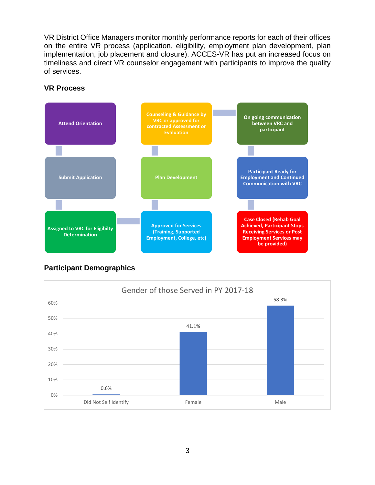VR District Office Managers monitor monthly performance reports for each of their offices on the entire VR process (application, eligibility, employment plan development, plan implementation, job placement and closure). ACCES-VR has put an increased focus on timeliness and direct VR counselor engagement with participants to improve the quality of services.



#### **VR Process**

# **Participant Demographics**

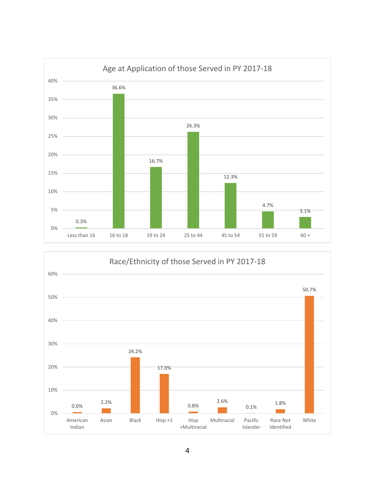



4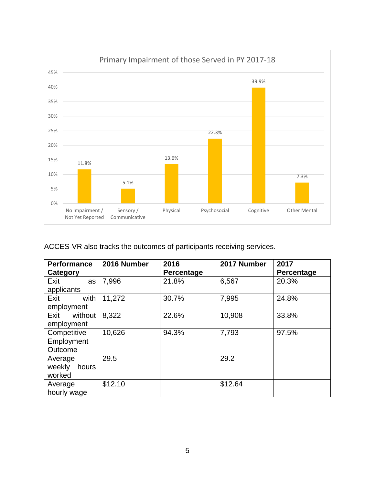

ACCES-VR also tracks the outcomes of participants receiving services.

| <b>Performance</b><br>Category | 2016 Number | 2016<br>Percentage | 2017 Number | 2017<br>Percentage |
|--------------------------------|-------------|--------------------|-------------|--------------------|
| Exit<br>as                     | 7,996       | 21.8%              | 6,567       | 20.3%              |
| applicants                     |             |                    |             |                    |
| Exit<br>with                   | 11,272      | 30.7%              | 7,995       | 24.8%              |
| employment                     |             |                    |             |                    |
| Exit<br>without                | 8,322       | 22.6%              | 10,908      | 33.8%              |
| employment                     |             |                    |             |                    |
| Competitive                    | 10,626      | 94.3%              | 7,793       | 97.5%              |
| Employment                     |             |                    |             |                    |
| Outcome                        |             |                    |             |                    |
| Average                        | 29.5        |                    | 29.2        |                    |
| weekly<br>hours                |             |                    |             |                    |
| worked                         |             |                    |             |                    |
| Average                        | \$12.10     |                    | \$12.64     |                    |
| hourly wage                    |             |                    |             |                    |